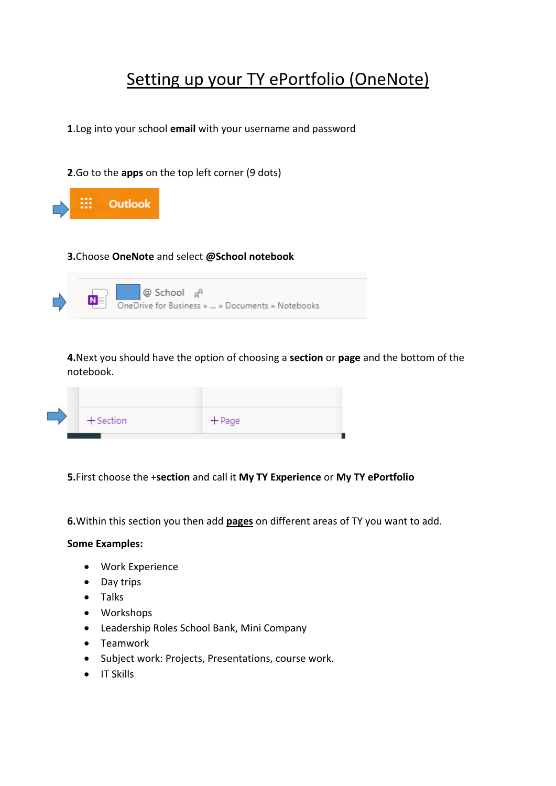## Setting up your TY ePortfolio (OneNote)

**1**.Log into your school **email** with your username and password

**2**.Go to the **apps** on the top left corner (9 dots)



## **3.**Choose **OneNote** and select **@School notebook**



**4.**Next you should have the option of choosing a **section** or **page** and the bottom of the notebook.

|  |  | $+$ Section | $+$ Page |
|--|--|-------------|----------|
|  |  |             |          |

## **5.**First choose the +**section** and call it **My TY Experience** or **My TY ePortfolio**

**6.**Within this section you then add **pages** on different areas of TY you want to add.

## **Some Examples:**

- Work Experience
- Day trips
- Talks
- Workshops
- Leadership Roles School Bank, Mini Company
- Teamwork
- Subject work: Projects, Presentations, course work.
- $\bullet$  IT Skills